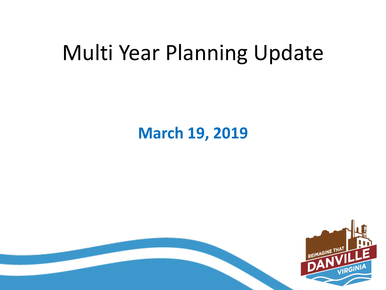#### Multi Year Planning Update

#### **March 19, 2019**

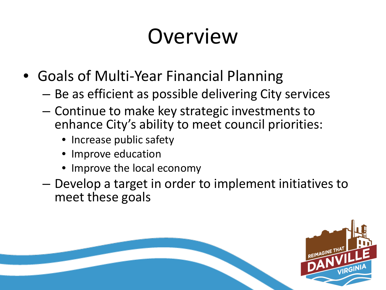## Overview

- Goals of Multi-Year Financial Planning
	- Be as efficient as possible delivering City services
	- Continue to make key strategic investments to enhance City's ability to meet council priorities:
		- Increase public safety
		- Improve education
		- Improve the local economy
	- Develop a target in order to implement initiatives to meet these goals

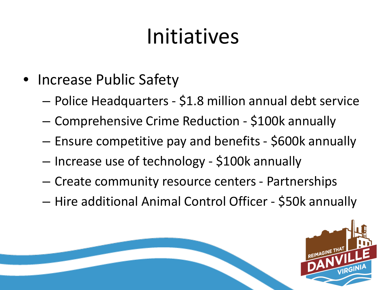## Initiatives

- Increase Public Safety
	- Police Headquarters \$1.8 million annual debt service
	- Comprehensive Crime Reduction \$100k annually
	- Ensure competitive pay and benefits \$600k annually
	- Increase use of technology \$100k annually
	- Create community resource centers Partnerships
	- Hire additional Animal Control Officer \$50k annually

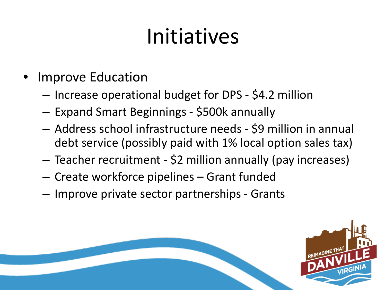## Initiatives

- Improve Education
	- Increase operational budget for DPS \$4.2 million
	- Expand Smart Beginnings \$500k annually
	- Address school infrastructure needs \$9 million in annual debt service (possibly paid with 1% local option sales tax)
	- Teacher recruitment \$2 million annually (pay increases)
	- Create workforce pipelines Grant funded
	- Improve private sector partnerships Grants

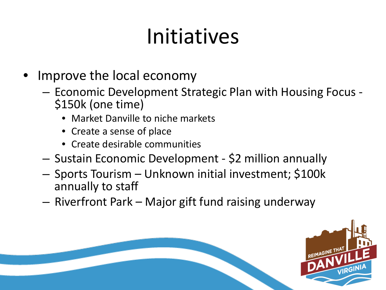## Initiatives

- Improve the local economy
	- Economic Development Strategic Plan with Housing Focus \$150k (one time)
		- Market Danville to niche markets
		- Create a sense of place
		- Create desirable communities
	- Sustain Economic Development \$2 million annually
	- Sports Tourism Unknown initial investment; \$100k annually to staff
	- Riverfront Park Major gift fund raising underway

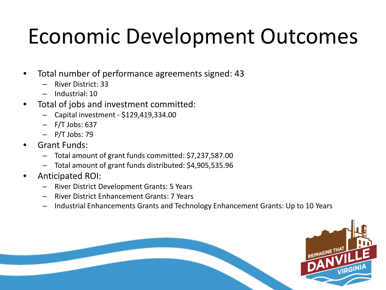- Total number of performance agreements signed: 43
	- River District: 33
	- Industrial: 10
- Total of jobs and investment committed:
	- Capital investment \$129,419,334.00
	- F/T Jobs: 637
	- P/T Jobs: 79
- Grant Funds:
	- Total amount of grant funds committed: \$7,237,587.00
	- Total amount of grant funds distributed: \$4,905,535.96
- Anticipated ROI:
	- River District Development Grants: 5 Years
	- River District Enhancement Grants: 7 Years
	- Industrial Enhancements Grants and Technology Enhancement Grants: Up to 10 Years

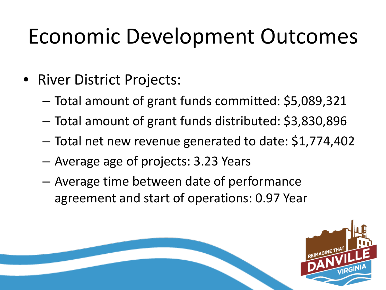- River District Projects:
	- Total amount of grant funds committed: \$5,089,321
	- Total amount of grant funds distributed: \$3,830,896
	- Total net new revenue generated to date: \$1,774,402
	- Average age of projects: 3.23 Years
	- Average time between date of performance agreement and start of operations: 0.97 Year

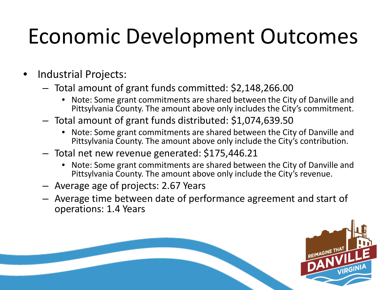- Industrial Projects:
	- Total amount of grant funds committed: \$2,148,266.00
		- Note: Some grant commitments are shared between the City of Danville and Pittsylvania County. The amount above only includes the City's commitment.
	- Total amount of grant funds distributed: \$1,074,639.50
		- Note: Some grant commitments are shared between the City of Danville and Pittsylvania County. The amount above only include the City's contribution.
	- Total net new revenue generated: \$175,446.21
		- Note: Some grant commitments are shared between the City of Danville and Pittsylvania County. The amount above only include the City's revenue.
	- Average age of projects: 2.67 Years
	- Average time between date of performance agreement and start of operations: 1.4 Years

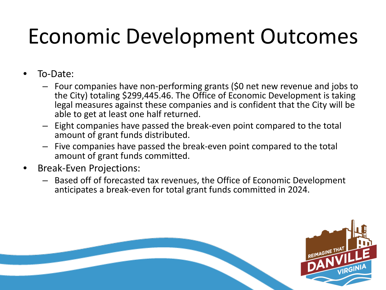- To-Date:
	- Four companies have non-performing grants (\$0 net new revenue and jobs to the City) totaling \$299,445.46. The Office of Economic Development is taking legal measures against these companies and is confident that the City will be able to get at least one half returned.
	- Eight companies have passed the break-even point compared to the total amount of grant funds distributed.
	- Five companies have passed the break-even point compared to the total amount of grant funds committed.
- Break-Even Projections:
	- Based off of forecasted tax revenues, the Office of Economic Development anticipates a break-even for total grant funds committed in 2024.

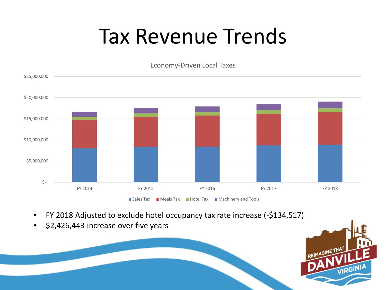#### Tax Revenue Trends

Economy-Driven Local Taxes



- FY 2018 Adjusted to exclude hotel occupancy tax rate increase (-\$134,517)
- \$2,426,443 increase over five years

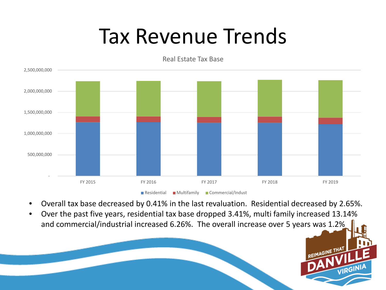#### Tax Revenue Trends



Real Estate Tax Base

- Overall tax base decreased by 0.41% in the last revaluation. Residential decreased by 2.65%.
- Over the past five years, residential tax base dropped 3.41%, multi family increased 13.14% and commercial/industrial increased 6.26%. The overall increase over 5 years was 1.2%

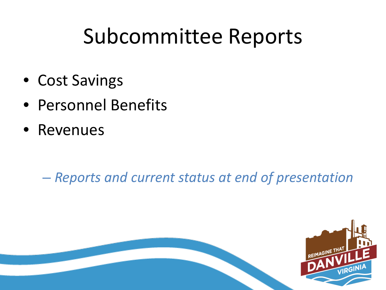#### Subcommittee Reports

- Cost Savings
- Personnel Benefits
- Revenues

– *Reports and current status at end of presentation*

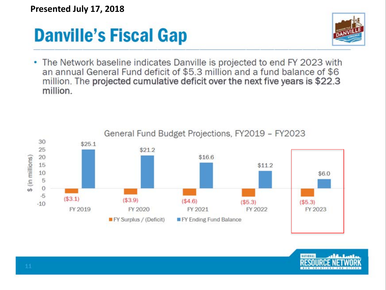**Presented July 17, 2018**

#### **Danville's Fiscal Gap**



• The Network baseline indicates Danville is projected to end FY 2023 with an annual General Fund deficit of \$5.3 million and a fund balance of \$6 million. The projected cumulative deficit over the next five years is \$22.3 million.

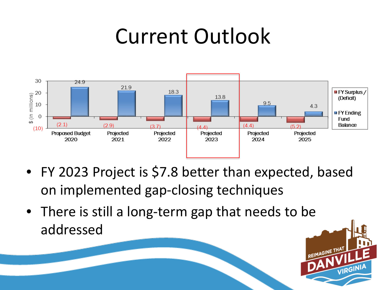#### Current Outlook



- FY 2023 Project is \$7.8 better than expected, based on implemented gap-closing techniques
- There is still a long-term gap that needs to be addressed

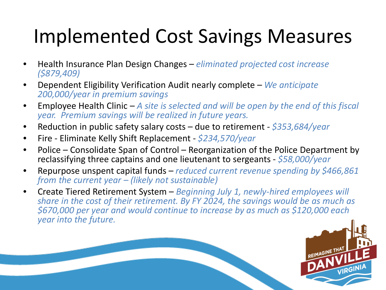#### Implemented Cost Savings Measures

- Health Insurance Plan Design Changes *eliminated projected cost increase (\$879,409)*
- Dependent Eligibility Verification Audit nearly complete *We anticipate 200,000/year in premium savings*
- Employee Health Clinic *A site is selected and will be open by the end of this fiscal year. Premium savings will be realized in future years.*
- Reduction in public safety salary costs due to retirement *\$353,684/year*
- Fire Eliminate Kelly Shift Replacement *\$234,570/year*
- Police Consolidate Span of Control Reorganization of the Police Department by reclassifying three captains and one lieutenant to sergeants - *\$58,000/year*
- Repurpose unspent capital funds *reduced current revenue spending by \$466,861 from the current year – (likely not sustainable)*
- Create Tiered Retirement System *Beginning July 1, newly-hired employees will share in the cost of their retirement. By FY 2024, the savings would be as much as \$670,000 per year and would continue to increase by as much as \$120,000 each year into the future.*

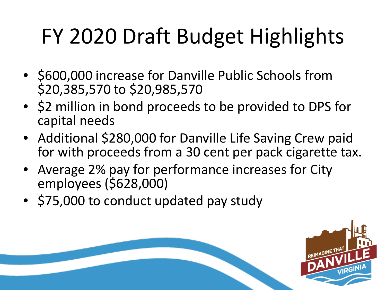# FY 2020 Draft Budget Highlights

- \$600,000 increase for Danville Public Schools from \$20,385,570 to \$20,985,570
- \$2 million in bond proceeds to be provided to DPS for capital needs
- Additional \$280,000 for Danville Life Saving Crew paid for with proceeds from a 30 cent per pack cigarette tax.
- Average 2% pay for performance increases for City employees (\$628,000)
- \$75,000 to conduct updated pay study

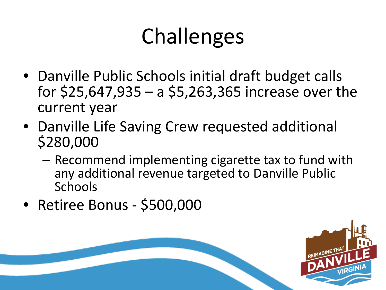## Challenges

- Danville Public Schools initial draft budget calls for \$25,647,935 – a \$5,263,365 increase over the current year
- Danville Life Saving Crew requested additional \$280,000
	- Recommend implementing cigarette tax to fund with any additional revenue targeted to Danville Public Schools
- Retiree Bonus \$500,000

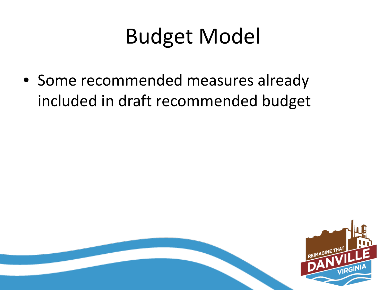## Budget Model

• Some recommended measures already included in draft recommended budget

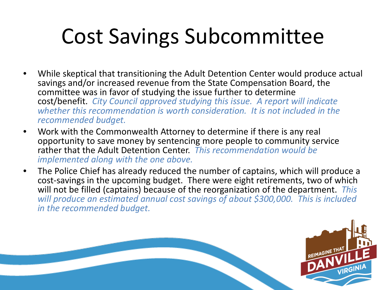## Cost Savings Subcommittee

- While skeptical that transitioning the Adult Detention Center would produce actual savings and/or increased revenue from the State Compensation Board, the committee was in favor of studying the issue further to determine cost/benefit. *City Council approved studying this issue. A report will indicate whether this recommendation is worth consideration. It is not included in the recommended budget.*
- Work with the Commonwealth Attorney to determine if there is any real opportunity to save money by sentencing more people to community service rather that the Adult Detention Center. *This recommendation would be implemented along with the one above.*
- The Police Chief has already reduced the number of captains, which will produce a cost-savings in the upcoming budget. There were eight retirements, two of which will not be filled (captains) because of the reorganization of the department. *This will produce an estimated annual cost savings of about \$300,000. This is included in the recommended budget.*

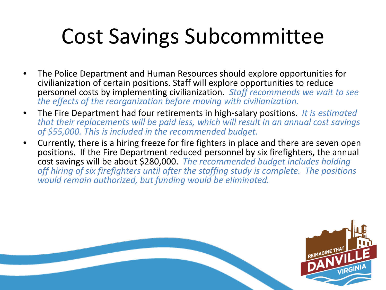## Cost Savings Subcommittee

- The Police Department and Human Resources should explore opportunities for civilianization of certain positions. Staff will explore opportunities to reduce personnel costs by implementing civilianization. *Staff recommends we wait to see the effects of the reorganization before moving with civilianization.*
- The Fire Department had four retirements in high-salary positions. *It is estimated that their replacements will be paid less, which will result in an annual cost savings of \$55,000. This is included in the recommended budget.*
- Currently, there is a hiring freeze for fire fighters in place and there are seven open positions. If the Fire Department reduced personnel by six firefighters, the annual cost savings will be about \$280,000. *The recommended budget includes holding off hiring of six firefighters until after the staffing study is complete. The positions would remain authorized, but funding would be eliminated.*

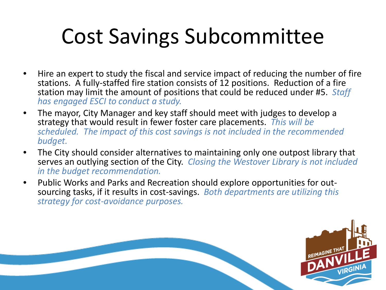## Cost Savings Subcommittee

- Hire an expert to study the fiscal and service impact of reducing the number of fire stations. A fully-staffed fire station consists of 12 positions. Reduction of a fire station may limit the amount of positions that could be reduced under #5. *Staff has engaged ESCI to conduct a study.*
- The mayor, City Manager and key staff should meet with judges to develop a strategy that would result in fewer foster care placements. *This will be scheduled. The impact of this cost savings is not included in the recommended budget.*
- The City should consider alternatives to maintaining only one outpost library that serves an outlying section of the City. *Closing the Westover Library is not included in the budget recommendation.*
- Public Works and Parks and Recreation should explore opportunities for out- sourcing tasks, if it results in cost-savings. *Both departments are utilizing this strategy for cost-avoidance purposes.*

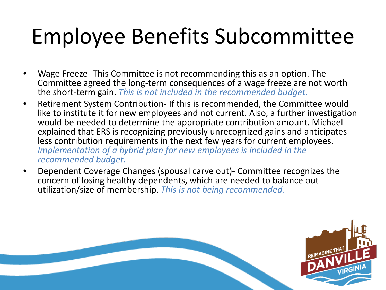## Employee Benefits Subcommittee

- Wage Freeze- This Committee is not recommending this as an option. The Committee agreed the long-term consequences of a wage freeze are not worth the short-term gain. *This is not included in the recommended budget.*
- Retirement System Contribution- If this is recommended, the Committee would like to institute it for new employees and not current. Also, a further investigation would be needed to determine the appropriate contribution amount. Michael explained that ERS is recognizing previously unrecognized gains and anticipates less contribution requirements in the next few years for current employees. *Implementation of a hybrid plan for new employees is included in the recommended budget.*
- Dependent Coverage Changes (spousal carve out)- Committee recognizes the concern of losing healthy dependents, which are needed to balance out utilization/size of membership. *This is not being recommended.*

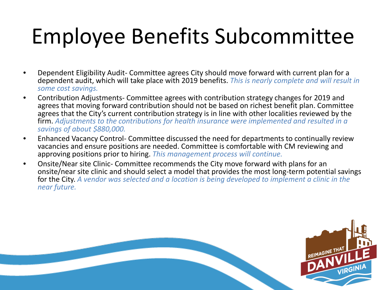## Employee Benefits Subcommittee

- Dependent Eligibility Audit- Committee agrees City should move forward with current plan for a dependent audit, which will take place with 2019 benefits. *This is nearly complete and will result in some cost savings.*
- Contribution Adjustments- Committee agrees with contribution strategy changes for 2019 and agrees that moving forward contribution should not be based on richest benefit plan. Committee agrees that the City's current contribution strategy is in line with other localities reviewed by the firm. *Adjustments to the contributions for health insurance were implemented and resulted in a savings of about \$880,000.*
- Enhanced Vacancy Control- Committee discussed the need for departments to continually review vacancies and ensure positions are needed. Committee is comfortable with CM reviewing and approving positions prior to hiring. *This management process will continue.*
- Onsite/Near site Clinic- Committee recommends the City move forward with plans for an onsite/near site clinic and should select a model that provides the most long-term potential savings for the City. *A vendor was selected and a location is being developed to implement a clinic in the near future.*

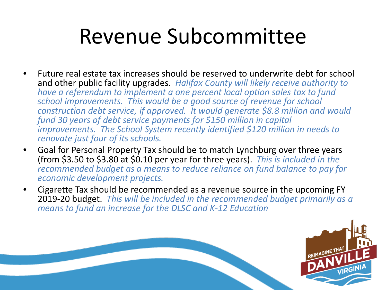#### Revenue Subcommittee

- Future real estate tax increases should be reserved to underwrite debt for school and other public facility upgrades. *Halifax County will likely receive authority to have a referendum to implement a one percent local option sales tax to fund school improvements. This would be a good source of revenue for school construction debt service, if approved. It would generate \$8.8 million and would fund 30 years of debt service payments for \$150 million in capital improvements. The School System recently identified \$120 million in needs to renovate just four of its schools.*
- Goal for Personal Property Tax should be to match Lynchburg over three years (from \$3.50 to \$3.80 at \$0.10 per year for three years). *This is included in the recommended budget as a means to reduce reliance on fund balance to pay for economic development projects.*
- Cigarette Tax should be recommended as a revenue source in the upcoming FY 2019-20 budget. *This will be included in the recommended budget primarily as a means to fund an increase for the DLSC and K-12 Education*